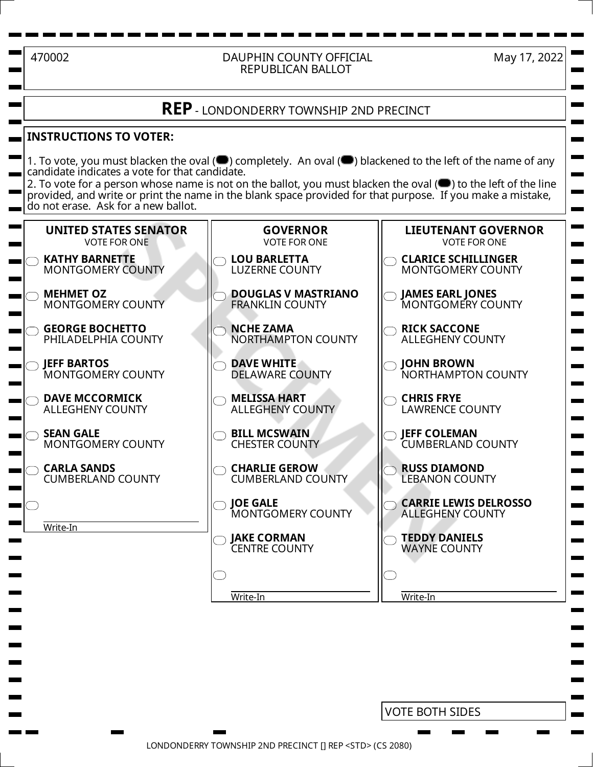## 470002 DAUPHIN COUNTY OFFICIAL REPUBLICAN BALLOT

May 17, 2022

## **REP**- LONDONDERRY TOWNSHIP 2ND PRECINCT

## **INSTRUCTIONS TO VOTER:**

1. To vote, you must blacken the oval ( $\blacksquare$ ) completely. An oval ( $\blacksquare$ ) blackened to the left of the name of any candidate indicates a vote for that candidate.

2. To vote for a person whose name is not on the ballot, you must blacken the oval  $($ **)** to the left of the line provided, and write or print the name in the blank space provided for that purpose. If you make a mistake, do not erase. Ask for a new ballot.



VOTE BOTH SIDES